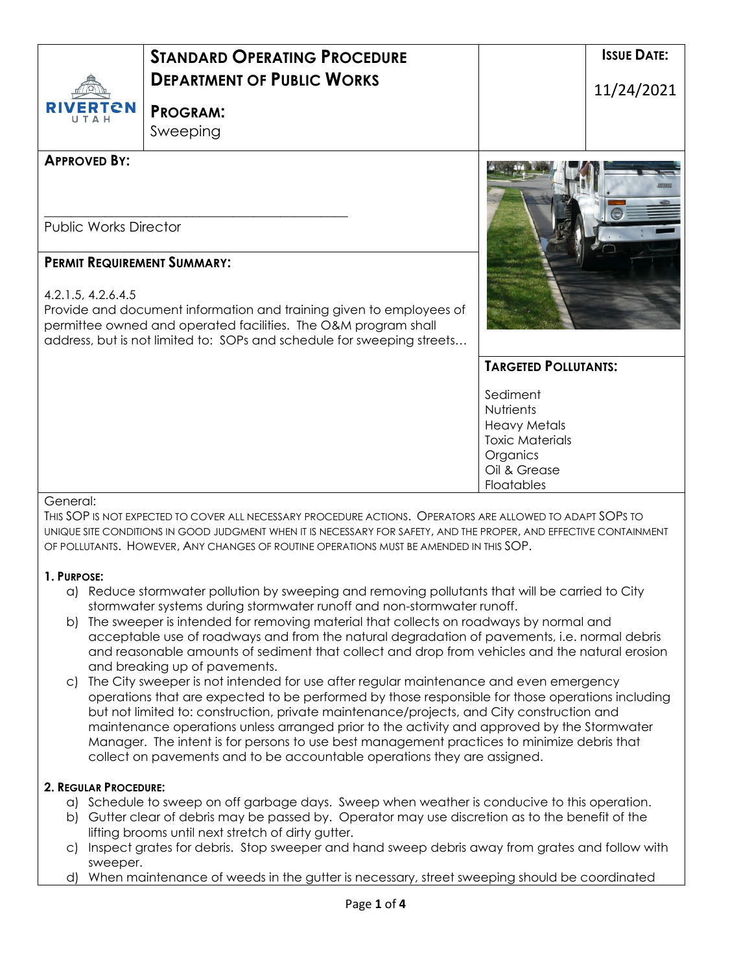| <b>RIVERTON</b>                    | <b>STANDARD OPERATING PROCEDURE</b><br><b>DEPARTMENT OF PUBLIC WORKS</b><br><b>PROGRAM:</b><br>Sweeping                                                                                                         |                                                                                                                  | <b>ISSUE DATE:</b><br>11/24/2021 |
|------------------------------------|-----------------------------------------------------------------------------------------------------------------------------------------------------------------------------------------------------------------|------------------------------------------------------------------------------------------------------------------|----------------------------------|
| <b>APPROVED BY:</b>                |                                                                                                                                                                                                                 |                                                                                                                  |                                  |
| <b>Public Works Director</b>       |                                                                                                                                                                                                                 |                                                                                                                  |                                  |
| <b>PERMIT REQUIREMENT SUMMARY:</b> |                                                                                                                                                                                                                 |                                                                                                                  |                                  |
| 4.2.1.5, 4.2.6.4.5                 | Provide and document information and training given to employees of<br>permittee owned and operated facilities. The O&M program shall<br>address, but is not limited to: SOPs and schedule for sweeping streets |                                                                                                                  |                                  |
|                                    |                                                                                                                                                                                                                 | <b>TARGETED POLLUTANTS:</b>                                                                                      |                                  |
|                                    |                                                                                                                                                                                                                 | Sediment<br>Nutrients<br><b>Heavy Metals</b><br><b>Toxic Materials</b><br>Organics<br>Oil & Grease<br>Floatables |                                  |

#### General:

THIS SOP IS NOT EXPECTED TO COVER ALL NECESSARY PROCEDURE ACTIONS. OPERATORS ARE ALLOWED TO ADAPT SOPS TO UNIQUE SITE CONDITIONS IN GOOD JUDGMENT WHEN IT IS NECESSARY FOR SAFETY, AND THE PROPER, AND EFFECTIVE CONTAINMENT OF POLLUTANTS. HOWEVER, ANY CHANGES OF ROUTINE OPERATIONS MUST BE AMENDED IN THIS SOP.

## **1. PURPOSE:**

- a) Reduce stormwater pollution by sweeping and removing pollutants that will be carried to City stormwater systems during stormwater runoff and non-stormwater runoff.
- b) The sweeper is intended for removing material that collects on roadways by normal and acceptable use of roadways and from the natural degradation of pavements, i.e. normal debris and reasonable amounts of sediment that collect and drop from vehicles and the natural erosion and breaking up of pavements.
- c) The City sweeper is not intended for use after regular maintenance and even emergency operations that are expected to be performed by those responsible for those operations including but not limited to: construction, private maintenance/projects, and City construction and maintenance operations unless arranged prior to the activity and approved by the Stormwater Manager. The intent is for persons to use best management practices to minimize debris that collect on pavements and to be accountable operations they are assigned.

## **2. REGULAR PROCEDURE:**

- a) Schedule to sweep on off garbage days. Sweep when weather is conducive to this operation.
- b) Gutter clear of debris may be passed by. Operator may use discretion as to the benefit of the lifting brooms until next stretch of dirty gutter.
- c) Inspect grates for debris. Stop sweeper and hand sweep debris away from grates and follow with sweeper.
- d) When maintenance of weeds in the gutter is necessary, street sweeping should be coordinated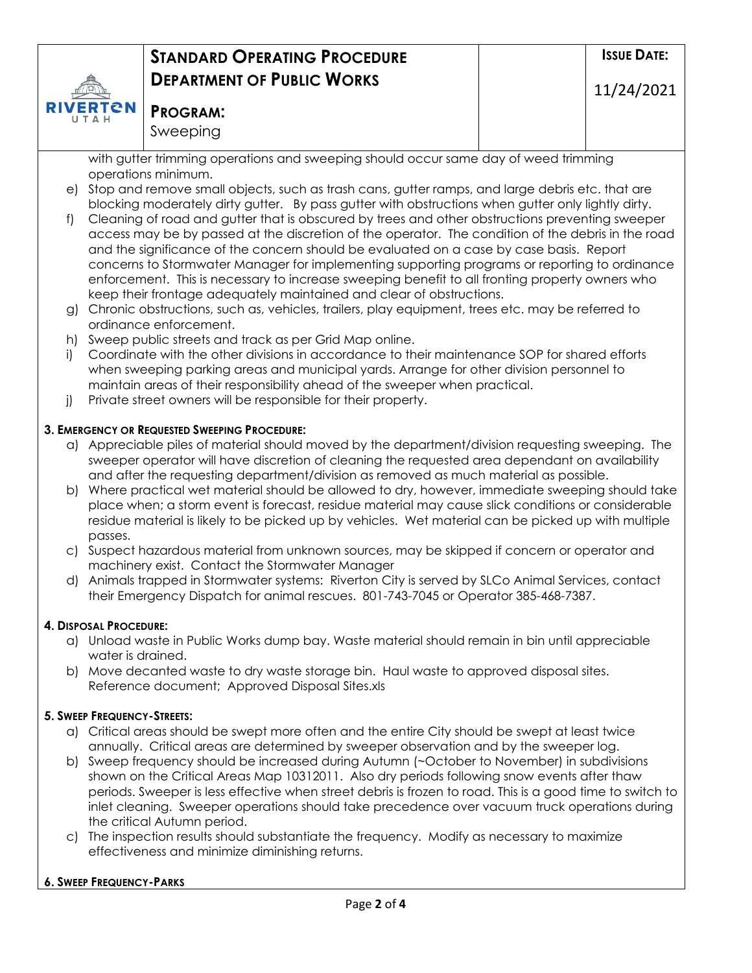

## **PROGRAM:** Sweeping

with gutter trimming operations and sweeping should occur same day of weed trimming operations minimum.

- e) Stop and remove small objects, such as trash cans, gutter ramps, and large debris etc. that are blocking moderately dirty gutter. By pass gutter with obstructions when gutter only lightly dirty.
- f) Cleaning of road and gutter that is obscured by trees and other obstructions preventing sweeper access may be by passed at the discretion of the operator. The condition of the debris in the road and the significance of the concern should be evaluated on a case by case basis. Report concerns to Stormwater Manager for implementing supporting programs or reporting to ordinance enforcement. This is necessary to increase sweeping benefit to all fronting property owners who keep their frontage adequately maintained and clear of obstructions.
- g) Chronic obstructions, such as, vehicles, trailers, play equipment, trees etc. may be referred to ordinance enforcement.
- h) Sweep public streets and track as per Grid Map online.
- i) Coordinate with the other divisions in accordance to their maintenance SOP for shared efforts when sweeping parking areas and municipal yards. Arrange for other division personnel to maintain areas of their responsibility ahead of the sweeper when practical.
- j) Private street owners will be responsible for their property.

## **3. EMERGENCY OR REQUESTED SWEEPING PROCEDURE:**

- a) Appreciable piles of material should moved by the department/division requesting sweeping. The sweeper operator will have discretion of cleaning the requested area dependant on availability and after the requesting department/division as removed as much material as possible.
- b) Where practical wet material should be allowed to dry, however, immediate sweeping should take place when; a storm event is forecast, residue material may cause slick conditions or considerable residue material is likely to be picked up by vehicles. Wet material can be picked up with multiple passes.
- c) Suspect hazardous material from unknown sources, may be skipped if concern or operator and machinery exist. Contact the Stormwater Manager
- d) Animals trapped in Stormwater systems: Riverton City is served by SLCo Animal Services, contact their Emergency Dispatch for animal rescues. 801-743-7045 or Operator 385-468-7387.

## **4. DISPOSAL PROCEDURE:**

- a) Unload waste in Public Works dump bay. Waste material should remain in bin until appreciable water is drained.
- b) Move decanted waste to dry waste storage bin. Haul waste to approved disposal sites. Reference document; Approved Disposal Sites.xls

## **5. SWEEP FREQUENCY-STREETS:**

- a) Critical areas should be swept more often and the entire City should be swept at least twice annually. Critical areas are determined by sweeper observation and by the sweeper log.
- b) Sweep frequency should be increased during Autumn (~October to November) in subdivisions shown on the Critical Areas Map 10312011. Also dry periods following snow events after thaw periods. Sweeper is less effective when street debris is frozen to road. This is a good time to switch to inlet cleaning. Sweeper operations should take precedence over vacuum truck operations during the critical Autumn period.
- c) The inspection results should substantiate the frequency. Modify as necessary to maximize effectiveness and minimize diminishing returns.

## **6. SWEEP FREQUENCY-PARKS**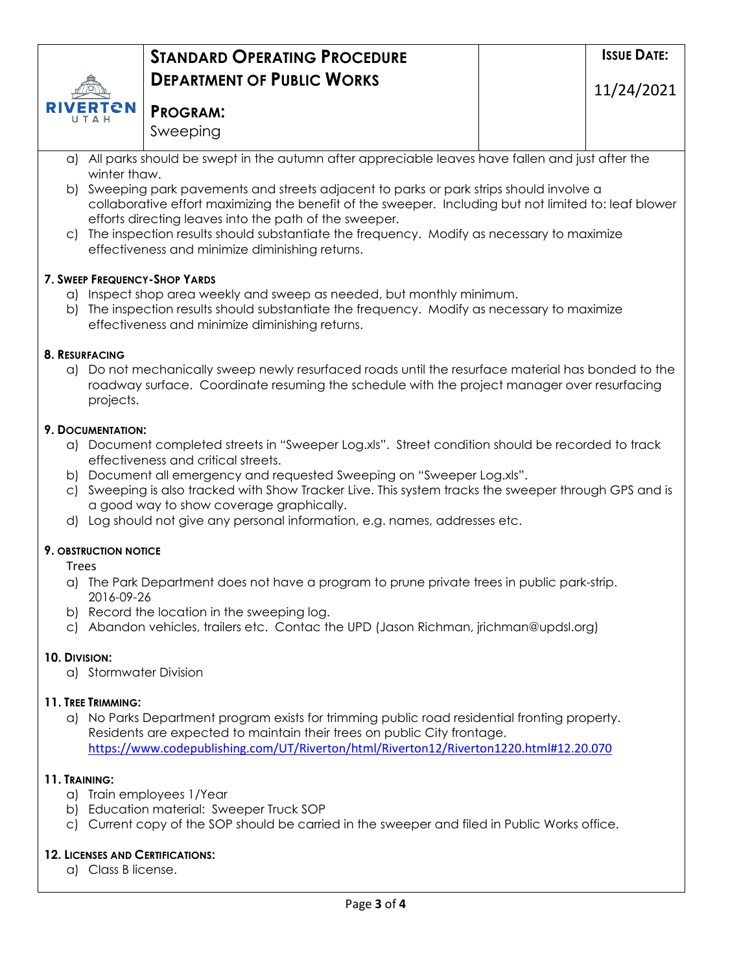

## **PROGRAM:** Sweeping

- a) All parks should be swept in the autumn after appreciable leaves have fallen and just after the winter thaw.
- b) Sweeping park pavements and streets adjacent to parks or park strips should involve a collaborative effort maximizing the benefit of the sweeper. Including but not limited to: leaf blower efforts directing leaves into the path of the sweeper.
- c) The inspection results should substantiate the frequency. Modify as necessary to maximize effectiveness and minimize diminishing returns.

## **7. SWEEP FREQUENCY-SHOP YARDS**

- a) Inspect shop area weekly and sweep as needed, but monthly minimum.
- b) The inspection results should substantiate the frequency. Modify as necessary to maximize effectiveness and minimize diminishing returns.

## **8. RESURFACING**

a) Do not mechanically sweep newly resurfaced roads until the resurface material has bonded to the roadway surface. Coordinate resuming the schedule with the project manager over resurfacing projects.

## **9. DOCUMENTATION:**

- a) Document completed streets in "Sweeper Log.xls". Street condition should be recorded to track effectiveness and critical streets.
- b) Document all emergency and requested Sweeping on "Sweeper Log.xls".
- c) Sweeping is also tracked with Show Tracker Live. This system tracks the sweeper through GPS and is a good way to show coverage graphically.
- d) Log should not give any personal information, e.g. names, addresses etc.

# **9. OBSTRUCTION NOTICE**

Trees

- a) The Park Department does not have a program to prune private trees in public park-strip. 2016-09-26
- b) Record the location in the sweeping log.
- c) Abandon vehicles, trailers etc. Contac the UPD (Jason Richman, jrichman@updsl.org)

## **10. DIVISION:**

a) Stormwater Division

## **11. TREE TRIMMING:**

a) No Parks Department program exists for trimming public road residential fronting property. Residents are expected to maintain their trees on public City frontage. <https://www.codepublishing.com/UT/Riverton/html/Riverton12/Riverton1220.html#12.20.070>

## **11. TRAINING:**

- a) Train employees 1/Year
- b) Education material: Sweeper Truck SOP
- c) Current copy of the SOP should be carried in the sweeper and filed in Public Works office.

# **12. LICENSES AND CERTIFICATIONS:**

a) Class B license.